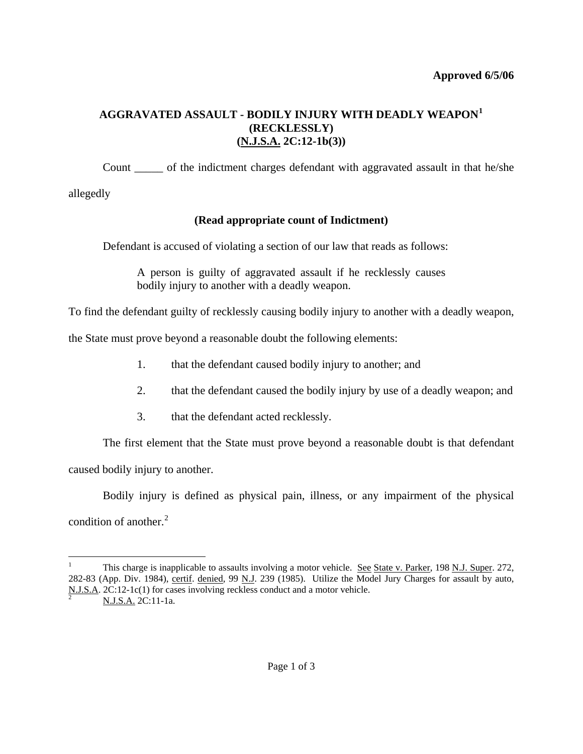# **AGGRAVATED ASSAULT - BODILY INJURY WITH DEADLY WEAPON[1](#page-0-0) (RECKLESSLY) (N.J.S.A. 2C:12-1b(3))**

 Count \_\_\_\_\_ of the indictment charges defendant with aggravated assault in that he/she allegedly

 **(Read appropriate count of Indictment)** 

Defendant is accused of violating a section of our law that reads as follows:

A person is guilty of aggravated assault if he recklessly causes bodily injury to another with a deadly weapon.

To find the defendant guilty of recklessly causing bodily injury to another with a deadly weapon,

the State must prove beyond a reasonable doubt the following elements:

- 1. that the defendant caused bodily injury to another; and
- 2. that the defendant caused the bodily injury by use of a deadly weapon; and
- 3. that the defendant acted recklessly.

 The first element that the State must prove beyond a reasonable doubt is that defendant caused bodily injury to another.

Bodily injury is defined as physical pain, illness, or any impairment of the physical

condition of another. $2$ 

 $\overline{a}$ 

<span id="page-0-2"></span><span id="page-0-1"></span>

<span id="page-0-0"></span><sup>1</sup> This charge is inapplicable to assaults involving a motor vehicle. See State v. Parker, 198 N.J. Super. 272, 282-83 (App. Div. 1984), certif. denied, 99 N.J. 239 (1985). Utilize the Model Jury Charges for assault by auto,  $\frac{N.J.S.A.}{2}$  2C:12-1c(1) for cases involving reckless conduct and a motor vehicle.<br>
2 N.J.S.A. 2C:11-1a.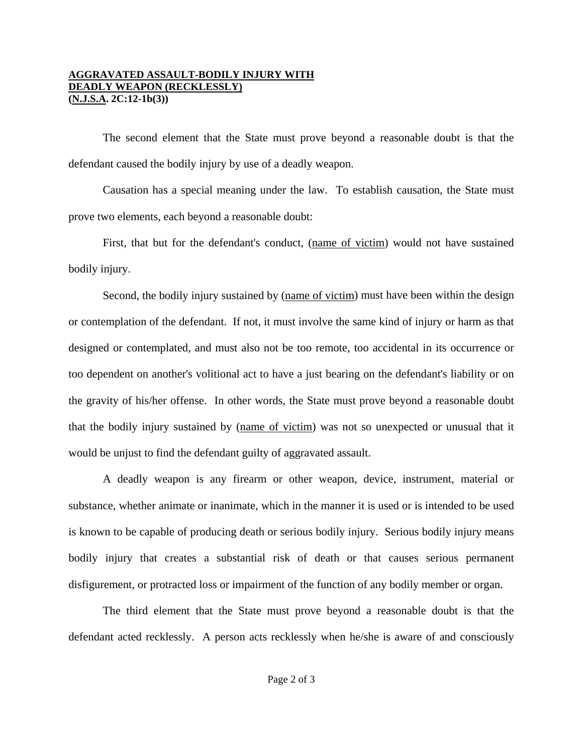### **AGGRAVATED ASSAULT-BODILY INJURY WITH DEADLY WEAPON (RECKLESSLY) (N.J.S.A. 2C:12-1b(3))**

 The second element that the State must prove beyond a reasonable doubt is that the defendant caused the bodily injury by use of a deadly weapon.

Causation has a special meaning under the law. To establish causation, the State must prove two elements, each beyond a reasonable doubt:

 First, that but for the defendant's conduct, (name of victim) would not have sustained bodily injury.

 Second, the bodily injury sustained by (name of victim) must have been within the design or contemplation of the defendant. If not, it must involve the same kind of injury or harm as that designed or contemplated, and must also not be too remote, too accidental in its occurrence or too dependent on another's volitional act to have a just bearing on the defendant's liability or on the gravity of his/her offense. In other words, the State must prove beyond a reasonable doubt that the bodily injury sustained by (name of victim) was not so unexpected or unusual that it would be unjust to find the defendant guilty of aggravated assault.

 A deadly weapon is any firearm or other weapon, device, instrument, material or substance, whether animate or inanimate, which in the manner it is used or is intended to be used is known to be capable of producing death or serious bodily injury. Serious bodily injury means bodily injury that creates a substantial risk of death or that causes serious permanent disfigurement, or protracted loss or impairment of the function of any bodily member or organ.

 The third element that the State must prove beyond a reasonable doubt is that the defendant acted recklessly. A person acts recklessly when he/she is aware of and consciously